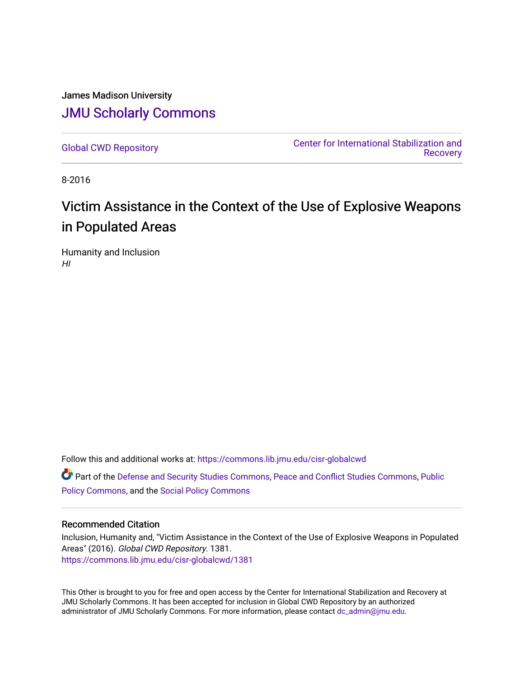# James Madison University [JMU Scholarly Commons](https://commons.lib.jmu.edu/)

[Global CWD Repository](https://commons.lib.jmu.edu/cisr-globalcwd) [Center for International Stabilization and](https://commons.lib.jmu.edu/cisr)  **Recovery** 

8-2016

# Victim Assistance in the Context of the Use of Explosive Weapons in Populated Areas

Humanity and Inclusion HI

Follow this and additional works at: [https://commons.lib.jmu.edu/cisr-globalcwd](https://commons.lib.jmu.edu/cisr-globalcwd?utm_source=commons.lib.jmu.edu%2Fcisr-globalcwd%2F1381&utm_medium=PDF&utm_campaign=PDFCoverPages)

Part of the [Defense and Security Studies Commons](http://network.bepress.com/hgg/discipline/394?utm_source=commons.lib.jmu.edu%2Fcisr-globalcwd%2F1381&utm_medium=PDF&utm_campaign=PDFCoverPages), [Peace and Conflict Studies Commons](http://network.bepress.com/hgg/discipline/397?utm_source=commons.lib.jmu.edu%2Fcisr-globalcwd%2F1381&utm_medium=PDF&utm_campaign=PDFCoverPages), [Public](http://network.bepress.com/hgg/discipline/400?utm_source=commons.lib.jmu.edu%2Fcisr-globalcwd%2F1381&utm_medium=PDF&utm_campaign=PDFCoverPages) [Policy Commons](http://network.bepress.com/hgg/discipline/400?utm_source=commons.lib.jmu.edu%2Fcisr-globalcwd%2F1381&utm_medium=PDF&utm_campaign=PDFCoverPages), and the [Social Policy Commons](http://network.bepress.com/hgg/discipline/1030?utm_source=commons.lib.jmu.edu%2Fcisr-globalcwd%2F1381&utm_medium=PDF&utm_campaign=PDFCoverPages)

#### Recommended Citation

Inclusion, Humanity and, "Victim Assistance in the Context of the Use of Explosive Weapons in Populated Areas" (2016). Global CWD Repository. 1381. [https://commons.lib.jmu.edu/cisr-globalcwd/1381](https://commons.lib.jmu.edu/cisr-globalcwd/1381?utm_source=commons.lib.jmu.edu%2Fcisr-globalcwd%2F1381&utm_medium=PDF&utm_campaign=PDFCoverPages) 

This Other is brought to you for free and open access by the Center for International Stabilization and Recovery at JMU Scholarly Commons. It has been accepted for inclusion in Global CWD Repository by an authorized administrator of JMU Scholarly Commons. For more information, please contact [dc\\_admin@jmu.edu](mailto:dc_admin@jmu.edu).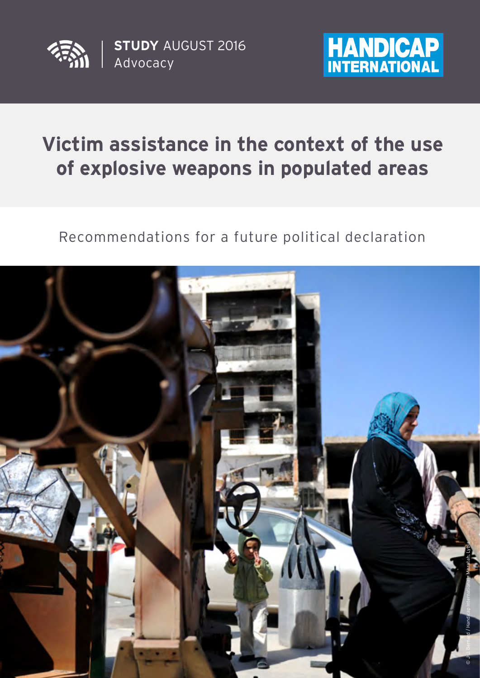

Advocacy **STUDY** AUGUST 2016



# **Victim assistance in the context of the use of explosive weapons in populated areas**

Recommendations for a future political declaration

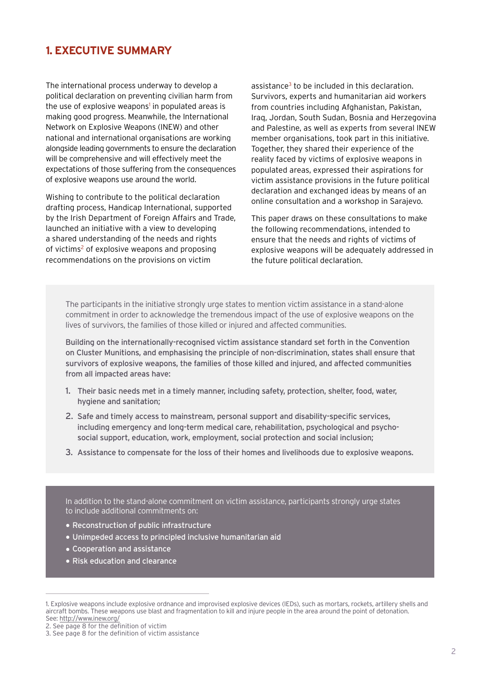# **1. EXECUTIVE SUMMARY**

The international process underway to develop a political declaration on preventing civilian harm from the use of explosive weapons<sup>1</sup> in populated areas is making good progress. Meanwhile, the International Network on Explosive Weapons (INEW) and other national and international organisations are working alongside leading governments to ensure the declaration will be comprehensive and will effectively meet the expectations of those suffering from the consequences of explosive weapons use around the world.

Wishing to contribute to the political declaration drafting process, Handicap International, supported by the Irish Department of Foreign Affairs and Trade, launched an initiative with a view to developing a shared understanding of the needs and rights of victims<sup>2</sup> of explosive weapons and proposing recommendations on the provisions on victim

assistance<sup>3</sup> to be included in this declaration. Survivors, experts and humanitarian aid workers from countries including Afghanistan, Pakistan, Iraq, Jordan, South Sudan, Bosnia and Herzegovina and Palestine, as well as experts from several INEW member organisations, took part in this initiative. Together, they shared their experience of the reality faced by victims of explosive weapons in populated areas, expressed their aspirations for victim assistance provisions in the future political declaration and exchanged ideas by means of an online consultation and a workshop in Sarajevo.

This paper draws on these consultations to make the following recommendations, intended to ensure that the needs and rights of victims of explosive weapons will be adequately addressed in the future political declaration.

The participants in the initiative strongly urge states to mention victim assistance in a stand-alone commitment in order to acknowledge the tremendous impact of the use of explosive weapons on the lives of survivors, the families of those killed or injured and affected communities.

Building on the internationally-recognised victim assistance standard set forth in the Convention on Cluster Munitions, and emphasising the principle of non-discrimination, states shall ensure that survivors of explosive weapons, the families of those killed and injured, and affected communities from all impacted areas have:

- 1. Their basic needs met in a timely manner, including safety, protection, shelter, food, water, hygiene and sanitation;
- 2. Safe and timely access to mainstream, personal support and disability-specific services, including emergency and long-term medical care, rehabilitation, psychological and psychosocial support, education, work, employment, social protection and social inclusion;
- 3. Assistance to compensate for the loss of their homes and livelihoods due to explosive weapons.

In addition to the stand-alone commitment on victim assistance, participants strongly urge states to include additional commitments on:

- Reconstruction of public infrastructure
- Unimpeded access to principled inclusive humanitarian aid
- Cooperation and assistance
- Risk education and clearance

<sup>1.</sup> Explosive weapons include explosive ordnance and improvised explosive devices (IEDs), such as mortars, rockets, artillery shells and aircraft bombs. These weapons use blast and fragmentation to kill and injure people in the area around the point of detonation. See: http://www.inew.org/

<sup>2.</sup> See page 8 for the definition of victim

<sup>3.</sup> See page 8 for the definition of victim assistance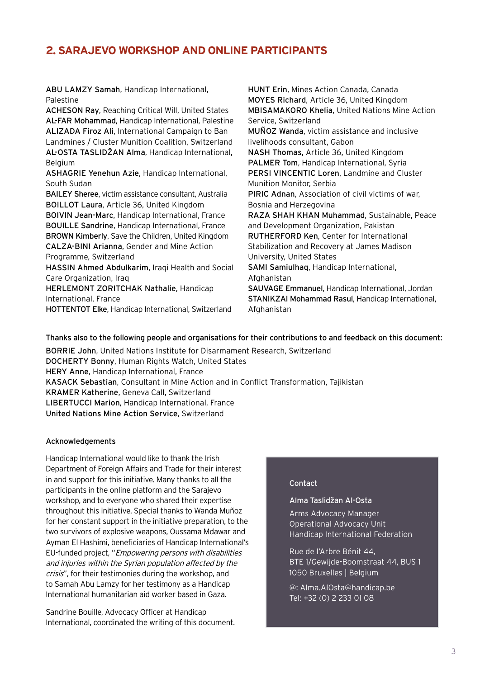# **2. SARAJEVO WORKSHOP AND ONLINE PARTICIPANTS**

ABU LAMZY Samah, Handicap International, Palestine

ACHESON Ray, Reaching Critical Will, United States AL-FAR Mohammad, Handicap International, Palestine ALIZADA Firoz Ali, International Campaign to Ban Landmines / Cluster Munition Coalition, Switzerland AL-OSTA TASLIDžAN Alma, Handicap International, Belgium

ASHAGRIE Yenehun Azie, Handicap International, South Sudan

BAILEY Sheree, victim assistance consultant, Australia BOILLOT Laura, Article 36, United Kingdom BOIVIN Jean-Marc, Handicap International, France BOUILLE Sandrine, Handicap International, France BROWN Kimberly, Save the Children, United Kingdom CALZA-BINI Arianna, Gender and Mine Action Programme, Switzerland

HASSIN Ahmed Abdulkarim, Iraqi Health and Social Care Organization, Iraq

HERLEMONT ZORITCHAK Nathalie, Handicap International, France

HOTTENTOT Elke, Handicap International, Switzerland

HUNT Erin, Mines Action Canada, Canada MOYES Richard, Article 36, United Kingdom MBISAMAKORO Khelia, United Nations Mine Action Service, Switzerland MUÑOZ Wanda, victim assistance and inclusive livelihoods consultant, Gabon NASH Thomas, Article 36, United Kingdom PALMER Tom, Handicap International, Syria PERSI VINCENTIC Loren, Landmine and Cluster Munition Monitor, Serbia PIRIC Adnan, Association of civil victims of war, Bosnia and Herzegovina RAZA SHAH KHAN Muhammad, Sustainable, Peace and Development Organization, Pakistan RUTHERFORD Ken, Center for International Stabilization and Recovery at James Madison University, United States SAMI Samiulhaq, Handicap International, Afghanistan SAUVAGE Emmanuel, Handicap International, Jordan STANIKZAI Mohammad Rasul, Handicap International, Afghanistan

Thanks also to the following people and organisations for their contributions to and feedback on this document:

BORRIE John, United Nations Institute for Disarmament Research, Switzerland DOCHERTY Bonny, Human Rights Watch, United States HERY Anne, Handicap International, France KASACK Sebastian, Consultant in Mine Action and in Conflict Transformation, Tajikistan KRAMER Katherine, Geneva Call, Switzerland LIBERTUCCI Marion, Handicap International, France United Nations Mine Action Service, Switzerland

#### Acknowledgements

Handicap International would like to thank the Irish Department of Foreign Affairs and Trade for their interest in and support for this initiative. Many thanks to all the participants in the online platform and the Sarajevo workshop, and to everyone who shared their expertise throughout this initiative. Special thanks to Wanda Muñoz for her constant support in the initiative preparation, to the two survivors of explosive weapons, Oussama Mdawar and Ayman El Hashimi, beneficiaries of Handicap International's EU-funded project, "Empowering persons with disabilities and injuries within the Syrian population affected by the crisis", for their testimonies during the workshop, and to Samah Abu Lamzy for her testimony as a Handicap International humanitarian aid worker based in Gaza.

Sandrine Bouille, Advocacy Officer at Handicap International, coordinated the writing of this document.

#### Contact

#### Alma Taslidžan Al-Osta

Arms Advocacy Manager Operational Advocacy Unit Handicap International Federation

Rue de l'Arbre Bénit 44, BTE 1/Gewijde-Boomstraat 44, BUS 1 1050 Bruxelles | Belgium

@: Alma.AlOsta@handicap.be Tel: +32 (0) 2 233 01 08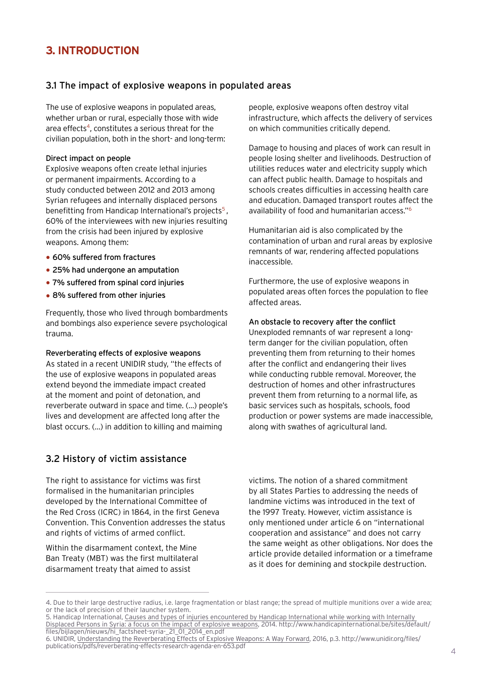# **3. INTRODUCTION**

### 3.1 The impact of explosive weapons in populated areas

The use of explosive weapons in populated areas, whether urban or rural, especially those with wide area effects<sup>4</sup>, constitutes a serious threat for the civilian population, both in the short- and long-term:

#### Direct impact on people

Explosive weapons often create lethal injuries or permanent impairments. According to a study conducted between 2012 and 2013 among Syrian refugees and internally displaced persons benefitting from Handicap International's projects<sup>5</sup>, 60% of the interviewees with new injuries resulting from the crisis had been injured by explosive weapons. Among them:

- 60% suffered from fractures
- 25% had undergone an amputation
- 7% suffered from spinal cord injuries
- 8% suffered from other injuries

Frequently, those who lived through bombardments and bombings also experience severe psychological trauma.

Reverberating effects of explosive weapons As stated in a recent UNIDIR study, "the effects of the use of explosive weapons in populated areas extend beyond the immediate impact created at the moment and point of detonation, and reverberate outward in space and time. (…) people's

lives and development are affected long after the blast occurs. (…) in addition to killing and maiming

### 3.2 History of victim assistance

The right to assistance for victims was first formalised in the humanitarian principles developed by the International Committee of the Red Cross (ICRC) in 1864, in the first Geneva Convention. This Convention addresses the status and rights of victims of armed conflict.

Within the disarmament context, the Mine Ban Treaty (MBT) was the first multilateral disarmament treaty that aimed to assist

people, explosive weapons often destroy vital infrastructure, which affects the delivery of services on which communities critically depend.

Damage to housing and places of work can result in people losing shelter and livelihoods. Destruction of utilities reduces water and electricity supply which can affect public health. Damage to hospitals and schools creates difficulties in accessing health care and education. Damaged transport routes affect the availability of food and humanitarian access."6

Humanitarian aid is also complicated by the contamination of urban and rural areas by explosive remnants of war, rendering affected populations inaccessible.

Furthermore, the use of explosive weapons in populated areas often forces the population to flee affected areas.

#### An obstacle to recovery after the conflict

Unexploded remnants of war represent a longterm danger for the civilian population, often preventing them from returning to their homes after the conflict and endangering their lives while conducting rubble removal. Moreover, the destruction of homes and other infrastructures prevent them from returning to a normal life, as basic services such as hospitals, schools, food production or power systems are made inaccessible, along with swathes of agricultural land.

victims. The notion of a shared commitment by all States Parties to addressing the needs of landmine victims was introduced in the text of the 1997 Treaty. However, victim assistance is only mentioned under article 6 on "international cooperation and assistance" and does not carry the same weight as other obligations. Nor does the article provide detailed information or a timeframe as it does for demining and stockpile destruction.

<sup>4.</sup> Due to their large destructive radius, i.e. large fragmentation or blast range; the spread of multiple munitions over a wide area; or the lack of precision of their launcher system.

<sup>5.</sup> Handicap International, Causes and types of injuries encountered by Handicap International while working with Internally Displaced Persons in Syria: a focus on the impact of explosive weapons, 2014. http://www.handicapinternational.be/sites/default/ files/bijlagen/nieuws/hi\_factsheet-syria-\_21\_01\_2014\_en.pdf

<sup>6.</sup> UNIDIR, Understanding the Reverberating Effects of Explosive Weapons: A Way Forward, 2016, p.3. http://www.unidir.org/files/ publications/pdfs/reverberating-effects-research-agenda-en-653.pdf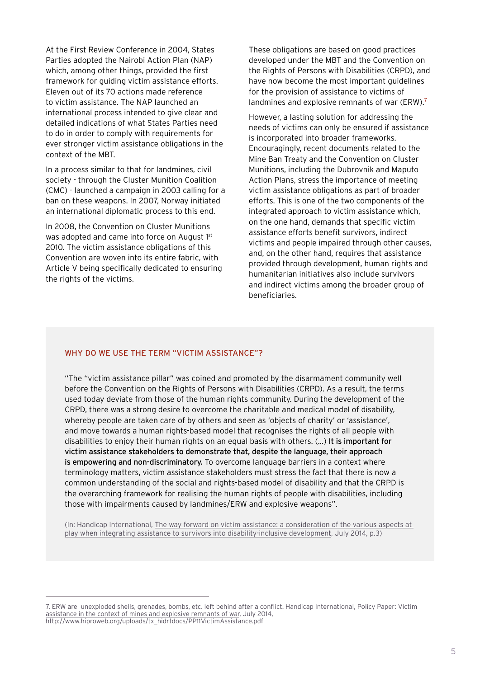At the First Review Conference in 2004, States Parties adopted the Nairobi Action Plan (NAP) which, among other things, provided the first framework for guiding victim assistance efforts. Eleven out of its 70 actions made reference to victim assistance. The NAP launched an international process intended to give clear and detailed indications of what States Parties need to do in order to comply with requirements for ever stronger victim assistance obligations in the context of the MBT.

In a process similar to that for landmines, civil society - through the Cluster Munition Coalition (CMC) - launched a campaign in 2003 calling for a ban on these weapons. In 2007, Norway initiated an international diplomatic process to this end.

In 2008, the Convention on Cluster Munitions was adopted and came into force on August 1<sup>st</sup> 2010. The victim assistance obligations of this Convention are woven into its entire fabric, with Article V being specifically dedicated to ensuring the rights of the victims.

These obligations are based on good practices developed under the MBT and the Convention on the Rights of Persons with Disabilities (CRPD), and have now become the most important guidelines for the provision of assistance to victims of landmines and explosive remnants of war (ERW).<sup>7</sup>

However, a lasting solution for addressing the needs of victims can only be ensured if assistance is incorporated into broader frameworks. Encouragingly, recent documents related to the Mine Ban Treaty and the Convention on Cluster Munitions, including the Dubrovnik and Maputo Action Plans, stress the importance of meeting victim assistance obligations as part of broader efforts. This is one of the two components of the integrated approach to victim assistance which, on the one hand, demands that specific victim assistance efforts benefit survivors, indirect victims and people impaired through other causes, and, on the other hand, requires that assistance provided through development, human rights and humanitarian initiatives also include survivors and indirect victims among the broader group of beneficiaries.

#### WHY DO WE USE THE TERM "VICTIM ASSISTANCE"?

"The "victim assistance pillar" was coined and promoted by the disarmament community well before the Convention on the Rights of Persons with Disabilities (CRPD). As a result, the terms used today deviate from those of the human rights community. During the development of the CRPD, there was a strong desire to overcome the charitable and medical model of disability, whereby people are taken care of by others and seen as 'objects of charity' or 'assistance', and move towards a human rights-based model that recognises the rights of all people with disabilities to enjoy their human rights on an equal basis with others. (…) It is important for victim assistance stakeholders to demonstrate that, despite the language, their approach is empowering and non-discriminatory. To overcome language barriers in a context where terminology matters, victim assistance stakeholders must stress the fact that there is now a common understanding of the social and rights-based model of disability and that the CRPD is the overarching framework for realising the human rights of people with disabilities, including those with impairments caused by landmines/ERW and explosive weapons".

(In: Handicap International, The way forward on victim assistance: a consideration of the various aspects at play when integrating assistance to survivors into disability-inclusive development, July 2014, p.3)

<sup>7.</sup> ERW are unexploded shells, grenades, bombs, etc. left behind after a conflict. Handicap International, Policy Paper: Victim assistance in the context of mines and explosive remnants of war, July 2014, http://www.hiproweb.org/uploads/tx\_hidrtdocs/PP11VictimAssistance.pdf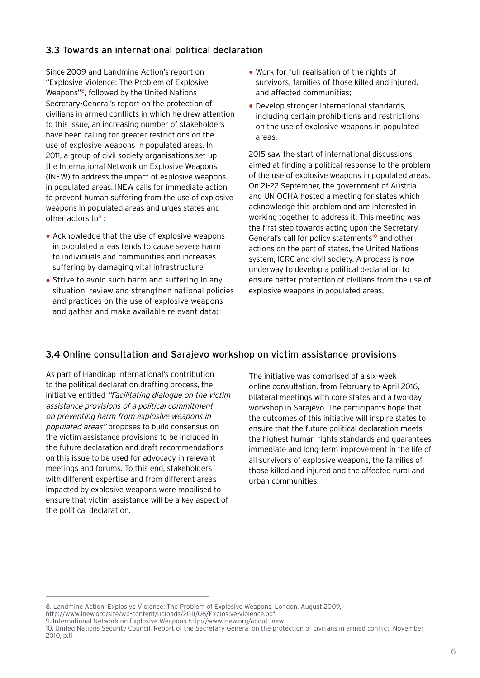## 3.3 Towards an international political declaration

Since 2009 and Landmine Action's report on "Explosive Violence: The Problem of Explosive Weapons"8, followed by the United Nations Secretary-General's report on the protection of civilians in armed conflicts in which he drew attention to this issue, an increasing number of stakeholders have been calling for greater restrictions on the use of explosive weapons in populated areas. In 2011, a group of civil society organisations set up the International Network on Explosive Weapons (INEW) to address the impact of explosive weapons in populated areas. INEW calls for immediate action to prevent human suffering from the use of explosive weapons in populated areas and urges states and other actors to $9$ :

- Acknowledge that the use of explosive weapons in populated areas tends to cause severe harm to individuals and communities and increases suffering by damaging vital infrastructure;
- Strive to avoid such harm and suffering in any situation, review and strengthen national policies and practices on the use of explosive weapons and gather and make available relevant data;
- Work for full realisation of the rights of survivors, families of those killed and injured, and affected communities;
- Develop stronger international standards, including certain prohibitions and restrictions on the use of explosive weapons in populated areas.

2015 saw the start of international discussions aimed at finding a political response to the problem of the use of explosive weapons in populated areas. On 21-22 September, the government of Austria and UN OCHA hosted a meeting for states which acknowledge this problem and are interested in working together to address it. This meeting was the first step towards acting upon the Secretary General's call for policy statements<sup>10</sup> and other actions on the part of states, the United Nations system, ICRC and civil society. A process is now underway to develop a political declaration to ensure better protection of civilians from the use of explosive weapons in populated areas.

## 3.4 Online consultation and Sarajevo workshop on victim assistance provisions

As part of Handicap International's contribution to the political declaration drafting process, the initiative entitled "Facilitating dialogue on the victim assistance provisions of a political commitment on preventing harm from explosive weapons in populated areas" proposes to build consensus on the victim assistance provisions to be included in the future declaration and draft recommendations on this issue to be used for advocacy in relevant meetings and forums. To this end, stakeholders with different expertise and from different areas impacted by explosive weapons were mobilised to ensure that victim assistance will be a key aspect of the political declaration.

The initiative was comprised of a six-week online consultation, from February to April 2016, bilateral meetings with core states and a two-day workshop in Sarajevo. The participants hope that the outcomes of this initiative will inspire states to ensure that the future political declaration meets the highest human rights standards and guarantees immediate and long-term improvement in the life of all survivors of explosive weapons, the families of those killed and injured and the affected rural and urban communities.

<sup>8.</sup> Landmine Action, Explosive Violence: The Problem of Explosive Weapons, London, August 2009, http://www.inew.org/site/wp-content/uploads/2011/06/Explosive-violence.pdf

<sup>9.</sup> International Network on Explosive Weapons http://www.inew.org/about-inew

<sup>10.</sup> United Nations Security Council, Report of the Secretary-General on the protection of civilians in armed conflict, November 2010, p.11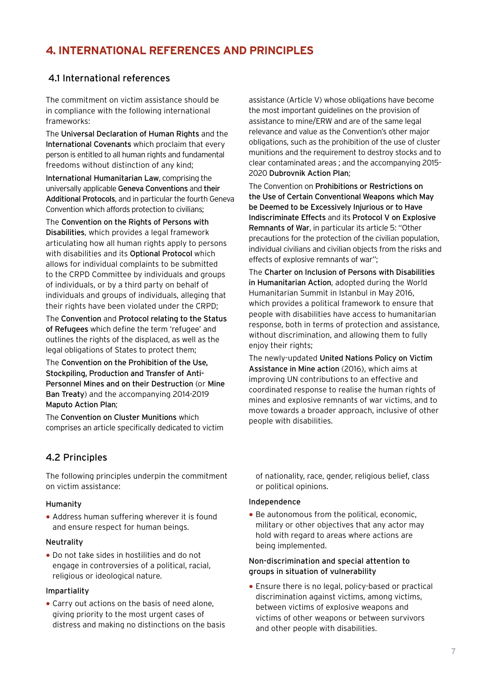# **4. INTERNATIONAL REFERENCES AND PRINCIPLES**

### 4.1 International references

The commitment on victim assistance should be in compliance with the following international frameworks:

The Universal Declaration of Human Rights and the International Covenants which proclaim that every person is entitled to all human rights and fundamental freedoms without distinction of any kind;

International Humanitarian Law, comprising the universally applicable Geneva Conventions and their Additional Protocols, and in particular the fourth Geneva Convention which affords protection to civilians;

The Convention on the Rights of Persons with Disabilities, which provides a legal framework articulating how all human rights apply to persons with disabilities and its **Optional Protocol** which allows for individual complaints to be submitted to the CRPD Committee by individuals and groups of individuals, or by a third party on behalf of individuals and groups of individuals, alleging that their rights have been violated under the CRPD;

The Convention and Protocol relating to the Status of Refugees which define the term 'refugee' and outlines the rights of the displaced, as well as the legal obligations of States to protect them;

The Convention on the Prohibition of the Use, Stockpiling, Production and Transfer of Anti-Personnel Mines and on their Destruction (or Mine Ban Treaty) and the accompanying 2014-2019 Maputo Action Plan;

The Convention on Cluster Munitions which comprises an article specifically dedicated to victim

## 4.2 Principles

The following principles underpin the commitment on victim assistance:

#### Humanity

• Address human suffering wherever it is found and ensure respect for human beings.

#### Neutrality

• Do not take sides in hostilities and do not engage in controversies of a political, racial, religious or ideological nature.

#### Impartiality

• Carry out actions on the basis of need alone, giving priority to the most urgent cases of distress and making no distinctions on the basis assistance (Article V) whose obligations have become the most important guidelines on the provision of assistance to mine/ERW and are of the same legal relevance and value as the Convention's other major obligations, such as the prohibition of the use of cluster munitions and the requirement to destroy stocks and to clear contaminated areas ; and the accompanying 2015- 2020 Dubrovnik Action Plan;

The Convention on Prohibitions or Restrictions on the Use of Certain Conventional Weapons which May be Deemed to be Excessively Injurious or to Have Indiscriminate Effects and its Protocol V on Explosive Remnants of War, in particular its article 5: "Other precautions for the protection of the civilian population, individual civilians and civilian objects from the risks and effects of explosive remnants of war";

The Charter on Inclusion of Persons with Disabilities in Humanitarian Action, adopted during the World Humanitarian Summit in Istanbul in May 2016, which provides a political framework to ensure that people with disabilities have access to humanitarian response, both in terms of protection and assistance, without discrimination, and allowing them to fully enjoy their rights;

The newly-updated United Nations Policy on Victim Assistance in Mine action (2016), which aims at improving UN contributions to an effective and coordinated response to realise the human rights of mines and explosive remnants of war victims, and to move towards a broader approach, inclusive of other people with disabilities.

of nationality, race, gender, religious belief, class or political opinions.

#### Independence

• Be autonomous from the political, economic, military or other objectives that any actor may hold with regard to areas where actions are being implemented.

#### Non-discrimination and special attention to groups in situation of vulnerability

• Ensure there is no legal, policy-based or practical discrimination against victims, among victims, between victims of explosive weapons and victims of other weapons or between survivors and other people with disabilities.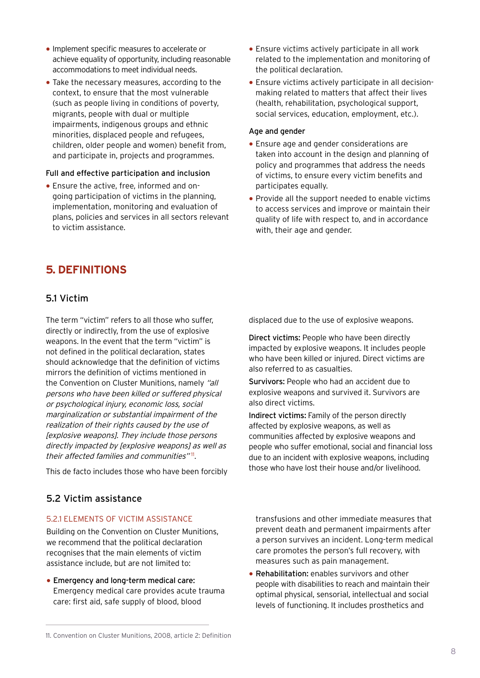- Implement specific measures to accelerate or achieve equality of opportunity, including reasonable accommodations to meet individual needs.
- Take the necessary measures, according to the context, to ensure that the most vulnerable (such as people living in conditions of poverty, migrants, people with dual or multiple impairments, indigenous groups and ethnic minorities, displaced people and refugees, children, older people and women) benefit from, and participate in, projects and programmes.

#### Full and effective participation and inclusion

• Ensure the active, free, informed and ongoing participation of victims in the planning, implementation, monitoring and evaluation of plans, policies and services in all sectors relevant to victim assistance.

# **5. DEFINITIONS**

### 5.1 Victim

The term "victim" refers to all those who suffer, directly or indirectly, from the use of explosive weapons. In the event that the term "victim" is not defined in the political declaration, states should acknowledge that the definition of victims mirrors the definition of victims mentioned in the Convention on Cluster Munitions, namely "all persons who have been killed or suffered physical or psychological injury, economic loss, social marginalization or substantial impairment of the realization of their rights caused by the use of [explosive weapons]. They include those persons directly impacted by [explosive weapons] as well as their affected families and communities"<sup>11</sup>.

This de facto includes those who have been forcibly

### 5.2 Victim assistance

#### 5.2.1 ELEMENTS OF VICTIM ASSISTANCE

Building on the Convention on Cluster Munitions, we recommend that the political declaration recognises that the main elements of victim assistance include, but are not limited to:

• Emergency and long-term medical care: Emergency medical care provides acute trauma care: first aid, safe supply of blood, blood

- Ensure victims actively participate in all work related to the implementation and monitoring of the political declaration.
- Ensure victims actively participate in all decisionmaking related to matters that affect their lives (health, rehabilitation, psychological support, social services, education, employment, etc.).

#### Age and gender

- Ensure age and gender considerations are taken into account in the design and planning of policy and programmes that address the needs of victims, to ensure every victim benefits and participates equally.
- Provide all the support needed to enable victims to access services and improve or maintain their quality of life with respect to, and in accordance with, their age and gender.

displaced due to the use of explosive weapons.

Direct victims: People who have been directly impacted by explosive weapons. It includes people who have been killed or injured. Direct victims are also referred to as casualties.

Survivors: People who had an accident due to explosive weapons and survived it. Survivors are also direct victims.

Indirect victims: Family of the person directly affected by explosive weapons, as well as communities affected by explosive weapons and people who suffer emotional, social and financial loss due to an incident with explosive weapons, including those who have lost their house and/or livelihood.

transfusions and other immediate measures that prevent death and permanent impairments after a person survives an incident. Long-term medical care promotes the person's full recovery, with measures such as pain management.

• Rehabilitation: enables survivors and other people with disabilities to reach and maintain their optimal physical, sensorial, intellectual and social levels of functioning. It includes prosthetics and

<sup>11.</sup> Convention on Cluster Munitions, 2008, article 2: Definition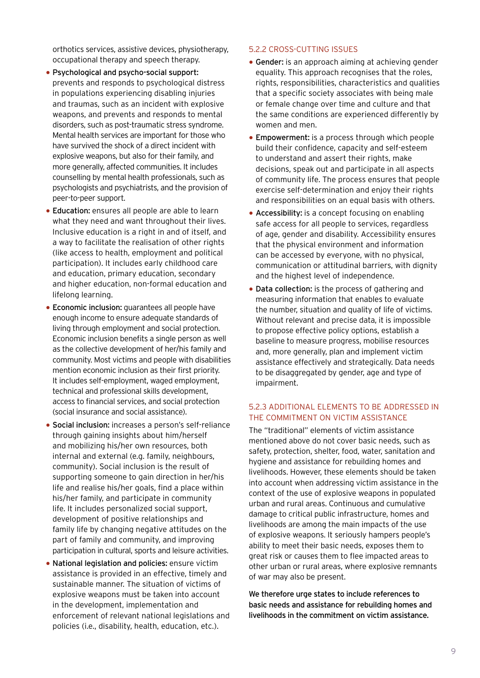orthotics services, assistive devices, physiotherapy, occupational therapy and speech therapy.

- Psychological and psycho-social support: prevents and responds to psychological distress in populations experiencing disabling injuries and traumas, such as an incident with explosive weapons, and prevents and responds to mental disorders, such as post-traumatic stress syndrome. Mental health services are important for those who have survived the shock of a direct incident with explosive weapons, but also for their family, and more generally, affected communities. It includes counselling by mental health professionals, such as psychologists and psychiatrists, and the provision of peer-to-peer support.
- Education: ensures all people are able to learn what they need and want throughout their lives. Inclusive education is a right in and of itself, and a way to facilitate the realisation of other rights (like access to health, employment and political participation). It includes early childhood care and education, primary education, secondary and higher education, non-formal education and lifelong learning.
- Economic inclusion: guarantees all people have enough income to ensure adequate standards of living through employment and social protection. Economic inclusion benefits a single person as well as the collective development of her/his family and community. Most victims and people with disabilities mention economic inclusion as their first priority. It includes self-employment, waged employment, technical and professional skills development, access to financial services, and social protection (social insurance and social assistance).
- Social inclusion: increases a person's self-reliance through gaining insights about him/herself and mobilizing his/her own resources, both internal and external (e.g. family, neighbours, community). Social inclusion is the result of supporting someone to gain direction in her/his life and realise his/her goals, find a place within his/her family, and participate in community life. It includes personalized social support, development of positive relationships and family life by changing negative attitudes on the part of family and community, and improving participation in cultural, sports and leisure activities.
- National legislation and policies: ensure victim assistance is provided in an effective, timely and sustainable manner. The situation of victims of explosive weapons must be taken into account in the development, implementation and enforcement of relevant national legislations and policies (i.e., disability, health, education, etc.).

#### 5.2.2 CROSS-CUTTING ISSUES

- Gender: is an approach aiming at achieving gender equality. This approach recognises that the roles, rights, responsibilities, characteristics and qualities that a specific society associates with being male or female change over time and culture and that the same conditions are experienced differently by women and men.
- Empowerment: is a process through which people build their confidence, capacity and self-esteem to understand and assert their rights, make decisions, speak out and participate in all aspects of community life. The process ensures that people exercise self-determination and enjoy their rights and responsibilities on an equal basis with others.
- Accessibility: is a concept focusing on enabling safe access for all people to services, regardless of age, gender and disability. Accessibility ensures that the physical environment and information can be accessed by everyone, with no physical, communication or attitudinal barriers, with dignity and the highest level of independence.
- Data collection: is the process of gathering and measuring information that enables to evaluate the number, situation and quality of life of victims. Without relevant and precise data, it is impossible to propose effective policy options, establish a baseline to measure progress, mobilise resources and, more generally, plan and implement victim assistance effectively and strategically. Data needs to be disaggregated by gender, age and type of impairment.

#### 5.2.3 ADDITIONAL ELEMENTS TO BE ADDRESSED IN THE COMMITMENT ON VICTIM ASSISTANCE

The "traditional" elements of victim assistance mentioned above do not cover basic needs, such as safety, protection, shelter, food, water, sanitation and hygiene and assistance for rebuilding homes and livelihoods. However, these elements should be taken into account when addressing victim assistance in the context of the use of explosive weapons in populated urban and rural areas. Continuous and cumulative damage to critical public infrastructure, homes and livelihoods are among the main impacts of the use of explosive weapons. It seriously hampers people's ability to meet their basic needs, exposes them to great risk or causes them to flee impacted areas to other urban or rural areas, where explosive remnants of war may also be present.

We therefore urge states to include references to basic needs and assistance for rebuilding homes and livelihoods in the commitment on victim assistance.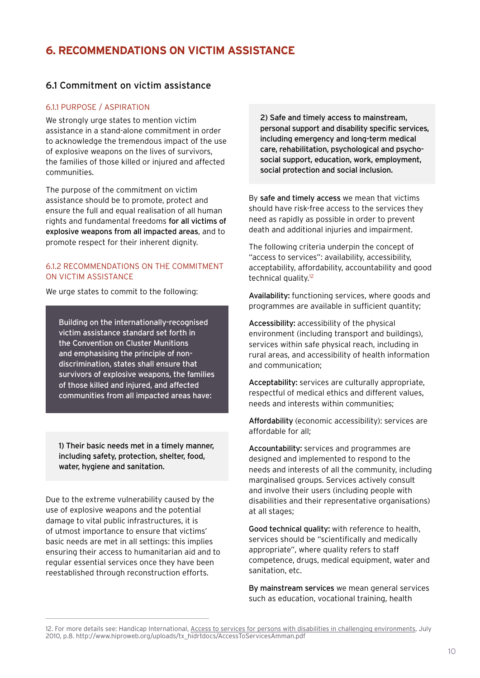# **6. RECOMMENDATIONS ON VICTIM ASSISTANCE**

### 6.1 Commitment on victim assistance

#### 6.1.1 PURPOSE / ASPIRATION

We strongly urge states to mention victim assistance in a stand-alone commitment in order to acknowledge the tremendous impact of the use of explosive weapons on the lives of survivors, the families of those killed or injured and affected communities.

The purpose of the commitment on victim assistance should be to promote, protect and ensure the full and equal realisation of all human rights and fundamental freedoms for all victims of explosive weapons from all impacted areas, and to promote respect for their inherent dignity.

#### 6.1.2 RECOMMENDATIONS ON THE COMMITMENT ON VICTIM ASSISTANCE

We urge states to commit to the following:

Building on the internationally-recognised victim assistance standard set forth in the Convention on Cluster Munitions and emphasising the principle of nondiscrimination, states shall ensure that survivors of explosive weapons, the families of those killed and injured, and affected communities from all impacted areas have:

1) Their basic needs met in a timely manner, including safety, protection, shelter, food, water, hygiene and sanitation.

Due to the extreme vulnerability caused by the use of explosive weapons and the potential damage to vital public infrastructures, it is of utmost importance to ensure that victims' basic needs are met in all settings: this implies ensuring their access to humanitarian aid and to regular essential services once they have been reestablished through reconstruction efforts.

2) Safe and timely access to mainstream, personal support and disability specific services, including emergency and long-term medical care, rehabilitation, psychological and psychosocial support, education, work, employment, social protection and social inclusion.

By safe and timely access we mean that victims should have risk-free access to the services they need as rapidly as possible in order to prevent death and additional injuries and impairment.

The following criteria underpin the concept of "access to services": availability, accessibility, acceptability, affordability, accountability and good technical quality.<sup>12</sup>

Availability: functioning services, where goods and programmes are available in sufficient quantity;

Accessibility: accessibility of the physical environment (including transport and buildings), services within safe physical reach, including in rural areas, and accessibility of health information and communication;

Acceptability: services are culturally appropriate, respectful of medical ethics and different values, needs and interests within communities;

Affordability (economic accessibility): services are affordable for all;

Accountability: services and programmes are designed and implemented to respond to the needs and interests of all the community, including marginalised groups. Services actively consult and involve their users (including people with disabilities and their representative organisations) at all stages;

Good technical quality: with reference to health, services should be "scientifically and medically appropriate", where quality refers to staff competence, drugs, medical equipment, water and sanitation, etc.

By mainstream services we mean general services such as education, vocational training, health

<sup>12.</sup> For more details see: Handicap International, Access to services for persons with disabilities in challenging environments, July 2010, p.8. http://www.hiproweb.org/uploads/tx\_hidrtdocs/AccessToServicesAmman.pdf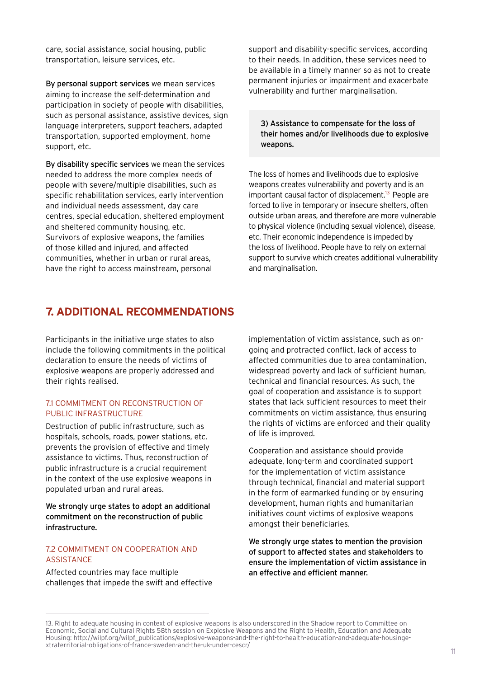care, social assistance, social housing, public transportation, leisure services, etc.

By personal support services we mean services aiming to increase the self-determination and participation in society of people with disabilities, such as personal assistance, assistive devices, sign language interpreters, support teachers, adapted transportation, supported employment, home support, etc.

By disability specific services we mean the services needed to address the more complex needs of people with severe/multiple disabilities, such as specific rehabilitation services, early intervention and individual needs assessment, day care centres, special education, sheltered employment and sheltered community housing, etc. Survivors of explosive weapons, the families of those killed and injured, and affected communities, whether in urban or rural areas, have the right to access mainstream, personal

# **7. ADDITIONAL RECOMMENDATIONS**

Participants in the initiative urge states to also include the following commitments in the political declaration to ensure the needs of victims of explosive weapons are properly addressed and their rights realised.

#### 7.1 COMMITMENT ON RECONSTRUCTION OF PUBLIC INFRASTRUCTURE

Destruction of public infrastructure, such as hospitals, schools, roads, power stations, etc. prevents the provision of effective and timely assistance to victims. Thus, reconstruction of public infrastructure is a crucial requirement in the context of the use explosive weapons in populated urban and rural areas.

We strongly urge states to adopt an additional commitment on the reconstruction of public infrastructure.

#### 7.2 COMMITMENT ON COOPERATION AND ASSISTANCE

Affected countries may face multiple challenges that impede the swift and effective

support and disability-specific services, according to their needs. In addition, these services need to be available in a timely manner so as not to create permanent injuries or impairment and exacerbate vulnerability and further marginalisation.

3) Assistance to compensate for the loss of their homes and/or livelihoods due to explosive weapons.

The loss of homes and livelihoods due to explosive weapons creates vulnerability and poverty and is an important causal factor of displacement.<sup>13</sup> People are forced to live in temporary or insecure shelters, often outside urban areas, and therefore are more vulnerable to physical violence (including sexual violence), disease, etc. Their economic independence is impeded by the loss of livelihood. People have to rely on external support to survive which creates additional vulnerability and marginalisation.

implementation of victim assistance, such as ongoing and protracted conflict, lack of access to affected communities due to area contamination, widespread poverty and lack of sufficient human, technical and financial resources. As such, the goal of cooperation and assistance is to support states that lack sufficient resources to meet their commitments on victim assistance, thus ensuring the rights of victims are enforced and their quality of life is improved.

Cooperation and assistance should provide adequate, long-term and coordinated support for the implementation of victim assistance through technical, financial and material support in the form of earmarked funding or by ensuring development, human rights and humanitarian initiatives count victims of explosive weapons amongst their beneficiaries.

We strongly urge states to mention the provision of support to affected states and stakeholders to ensure the implementation of victim assistance in an effective and efficient manner.

<sup>13.</sup> Right to adequate housing in context of explosive weapons is also underscored in the Shadow report to Committee on Economic, Social and Cultural Rights 58th session on Explosive Weapons and the Right to Health, Education and Adequate Housing: http://wilpf.org/wilpf\_publications/explosive-weapons-and-the-right-to-health-education-and-adequate-housingextraterritorial-obligations-of-france-sweden-and-the-uk-under-cescr/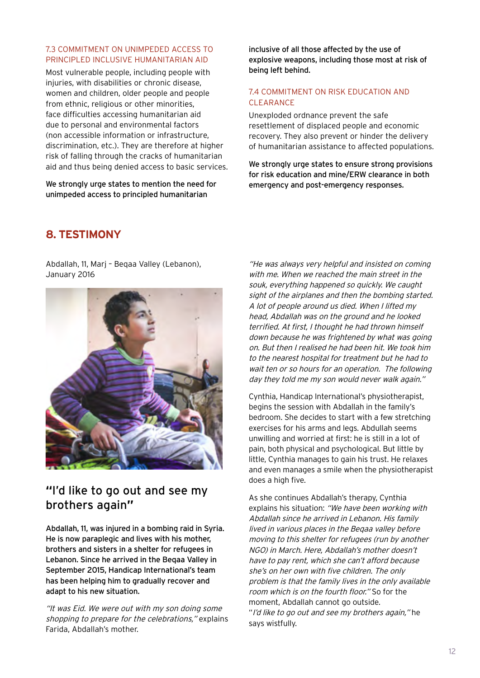#### 7.3 COMMITMENT ON UNIMPEDED ACCESS TO PRINCIPLED INCLUSIVE HUMANITARIAN AID

Most vulnerable people, including people with injuries, with disabilities or chronic disease, women and children, older people and people from ethnic, religious or other minorities. face difficulties accessing humanitarian aid due to personal and environmental factors (non accessible information or infrastructure, discrimination, etc.). They are therefore at higher risk of falling through the cracks of humanitarian aid and thus being denied access to basic services.

We strongly urge states to mention the need for unimpeded access to principled humanitarian

inclusive of all those affected by the use of explosive weapons, including those most at risk of being left behind.

#### 7.4 COMMITMENT ON RISK EDUCATION AND CLEARANCE

Unexploded ordnance prevent the safe resettlement of displaced people and economic recovery. They also prevent or hinder the delivery of humanitarian assistance to affected populations.

We strongly urge states to ensure strong provisions for risk education and mine/ERW clearance in both emergency and post-emergency responses.

# **8. TESTIMONY**

Abdallah, 11, Marj – Beqaa Valley (Lebanon), January 2016



# **"**I'd like to go out and see my brothers again**"**

Abdallah, 11, was injured in a bombing raid in Syria. He is now paraplegic and lives with his mother, brothers and sisters in a shelter for refugees in Lebanon. Since he arrived in the Beqaa Valley in September 2015, Handicap International's team has been helping him to gradually recover and adapt to his new situation.

"It was Eid. We were out with my son doing some shopping to prepare for the celebrations," explains Farida, Abdallah's mother.

"He was always very helpful and insisted on coming with me. When we reached the main street in the souk, everything happened so quickly. We caught sight of the airplanes and then the bombing started. A lot of people around us died. When I lifted my head, Abdallah was on the ground and he looked terrified. At first, I thought he had thrown himself down because he was frightened by what was going on. But then I realised he had been hit. We took him to the nearest hospital for treatment but he had to wait ten or so hours for an operation. The following day they told me my son would never walk again."

Cynthia, Handicap International's physiotherapist, begins the session with Abdallah in the family's bedroom. She decides to start with a few stretching exercises for his arms and legs. Abdullah seems unwilling and worried at first: he is still in a lot of pain, both physical and psychological. But little by little, Cynthia manages to gain his trust. He relaxes and even manages a smile when the physiotherapist does a high five.

As she continues Abdallah's therapy, Cynthia explains his situation: "We have been working with Abdallah since he arrived in Lebanon. His family lived in various places in the Beqaa valley before moving to this shelter for refugees (run by another NGO) in March. Here, Abdallah's mother doesn't have to pay rent, which she can't afford because she's on her own with five children. The only problem is that the family lives in the only available room which is on the fourth floor." So for the moment, Abdallah cannot go outside. "I'd like to go out and see my brothers again," he says wistfully.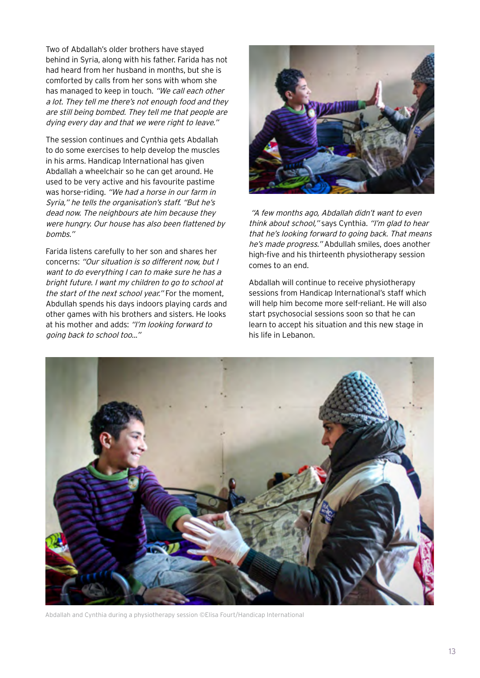Two of Abdallah's older brothers have stayed behind in Syria, along with his father. Farida has not had heard from her husband in months, but she is comforted by calls from her sons with whom she has managed to keep in touch. "We call each other a lot. They tell me there's not enough food and they are still being bombed. They tell me that people are dying every day and that we were right to leave."

The session continues and Cynthia gets Abdallah to do some exercises to help develop the muscles in his arms. Handicap International has given Abdallah a wheelchair so he can get around. He used to be very active and his favourite pastime was horse-riding. "We had a horse in our farm in Syria," he tells the organisation's staff. "But he's dead now. The neighbours ate him because they were hungry. Our house has also been flattened by bombs."

Farida listens carefully to her son and shares her concerns: "Our situation is so different now, but I want to do everything I can to make sure he has a bright future. I want my children to go to school at the start of the next school year." For the moment, Abdullah spends his days indoors playing cards and other games with his brothers and sisters. He looks at his mother and adds: "I'm looking forward to going back to school too..."



"A few months ago, Abdallah didn't want to even think about school," says Cynthia. "I'm glad to hear that he's looking forward to going back. That means he's made progress." Abdullah smiles, does another high-five and his thirteenth physiotherapy session comes to an end.

Abdallah will continue to receive physiotherapy sessions from Handicap International's staff which will help him become more self-reliant. He will also start psychosocial sessions soon so that he can learn to accept his situation and this new stage in his life in Lebanon.



Abdallah and Cynthia during a physiotherapy session ©Elisa Fourt/Handicap International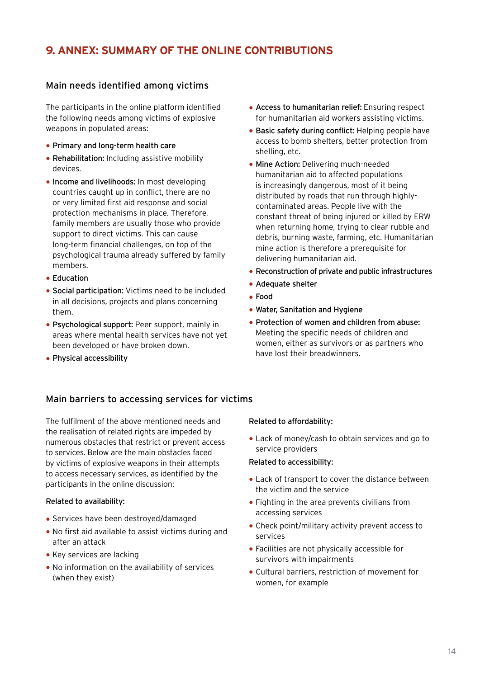# **9. ANNEX: SUMMARY OF THE ONLINE CONTRIBUTIONS**

### Main needs identified among victims

The participants in the online platform identified the following needs among victims of explosive weapons in populated areas:

- Primary and long-term health care
- Rehabilitation: Including assistive mobility devices.
- Income and livelihoods: In most developing countries caught up in conflict, there are no or very limited first aid response and social protection mechanisms in place. Therefore, family members are usually those who provide support to direct victims. This can cause long-term financial challenges, on top of the psychological trauma already suffered by family members.
- Education
- Social participation: Victims need to be included in all decisions, projects and plans concerning them.
- Psychological support: Peer support, mainly in areas where mental health services have not yet been developed or have broken down.
- Physical accessibility
- Access to humanitarian relief: Ensuring respect for humanitarian aid workers assisting victims.
- Basic safety during conflict: Helping people have access to bomb shelters, better protection from shelling, etc.
- Mine Action: Delivering much-needed humanitarian aid to affected populations is increasingly dangerous, most of it being distributed by roads that run through highlycontaminated areas. People live with the constant threat of being injured or killed by ERW when returning home, trying to clear rubble and debris, burning waste, farming, etc. Humanitarian mine action is therefore a prerequisite for delivering humanitarian aid.
- Reconstruction of private and public infrastructures
- Adequate shelter
- Food
- Water, Sanitation and Hygiene
- Protection of women and children from abuse: Meeting the specific needs of children and women, either as survivors or as partners who have lost their breadwinners.

### Main barriers to accessing services for victims

The fulfilment of the above-mentioned needs and the realisation of related rights are impeded by numerous obstacles that restrict or prevent access to services. Below are the main obstacles faced by victims of explosive weapons in their attempts to access necessary services, as identified by the participants in the online discussion:

#### Related to availability:

- Services have been destroyed/damaged
- No first aid available to assist victims during and after an attack
- Key services are lacking
- No information on the availability of services (when they exist)

#### Related to affordability:

• Lack of money/cash to obtain services and go to service providers

#### Related to accessibility:

- Lack of transport to cover the distance between the victim and the service
- Fighting in the area prevents civilians from accessing services
- Check point/military activity prevent access to services
- Facilities are not physically accessible for survivors with impairments
- Cultural barriers, restriction of movement for women, for example